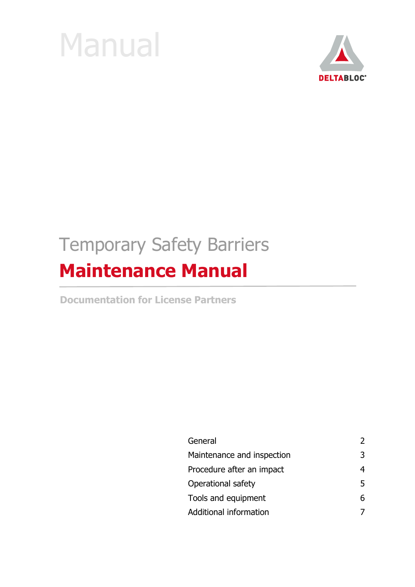



# Temporary Safety Barriers **Maintenance Manual**

**Documentation for License Partners**

| General                    | $\mathcal{L}$ |
|----------------------------|---------------|
| Maintenance and inspection | 3             |
| Procedure after an impact  | 4             |
| Operational safety         | 5             |
| Tools and equipment        | 6             |
| Additional information     |               |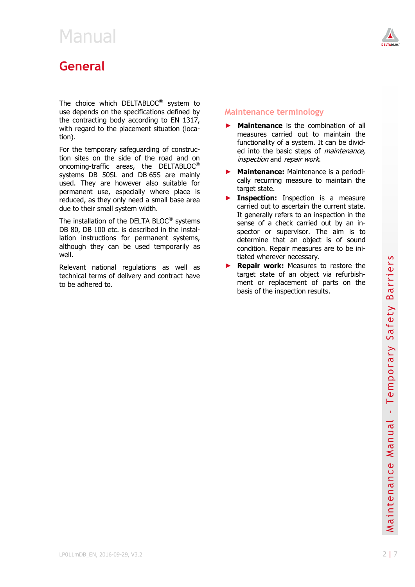<span id="page-1-0"></span>

The choice which DELTABLOC $^{\circledR}$  system to use depends on the specifications defined by the contracting body according to EN 1317, with regard to the placement situation (location).

For the temporary safeguarding of construction sites on the side of the road and on oncoming-traffic areas, the DELTABLOC® systems DB 50SL and DB 65S are mainly used. They are however also suitable for permanent use, especially where place is reduced, as they only need a small base area due to their small system width.

The installation of the DELTA BLOC® systems DB 80, DB 100 etc. is described in the installation instructions for permanent systems, although they can be used temporarily as well.

Relevant national regulations as well as technical terms of delivery and contract have to be adhered to.

### **Maintenance terminology**

- **Maintenance** is the combination of all measures carried out to maintain the functionality of a system. It can be divided into the basic steps of *maintenance*, inspection and repair work.
- ► **Maintenance:** Maintenance is a periodically recurring measure to maintain the target state.
- **Inspection:** Inspection is a measure carried out to ascertain the current state. It generally refers to an inspection in the sense of a check carried out by an inspector or supervisor. The aim is to determine that an object is of sound condition. Repair measures are to be initiated wherever necessary.
- **Repair work:** Measures to restore the target state of an object via refurbishment or replacement of parts on the basis of the inspection results.

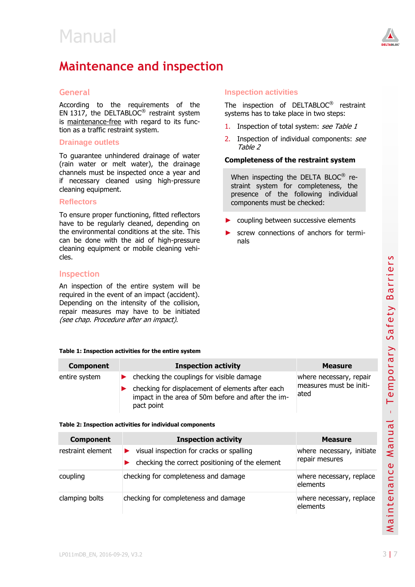

### <span id="page-2-0"></span>**Maintenance and inspection**

### **General**

According to the requirements of the EN 1317, the DELTABLOC<sup>®</sup> restraint system is maintenance-free with regard to its function as a traffic restraint system.

#### **Drainage outlets**

To guarantee unhindered drainage of water (rain water or melt water), the drainage channels must be inspected once a year and if necessary cleaned using high-pressure cleaning equipment.

### **Reflectors**

To ensure proper functioning, fitted reflectors have to be regularly cleaned, depending on the environmental conditions at the site. This can be done with the aid of high-pressure cleaning equipment or mobile cleaning vehicles.

### **Inspection**

An inspection of the entire system will be required in the event of an impact (accident). Depending on the intensity of the collision, repair measures may have to be initiated (see chap. Procedure after an impact).

#### **Table 1: Inspection activities for the entire system**

#### **Component Inspection activity Measure** entire system ► checking the couplings for visible damage checking for displacement of elements after each impact in the area of 50m before and after the impact point where necessary, repair measures must be initiated

#### <span id="page-2-1"></span>**Table 2: Inspection activities for individual components**

| Table 1: Inspection activities for the entire system |                                                                                                                                                                   |                                                            |                                     |
|------------------------------------------------------|-------------------------------------------------------------------------------------------------------------------------------------------------------------------|------------------------------------------------------------|-------------------------------------|
| <b>Component</b>                                     | <b>Inspection activity</b>                                                                                                                                        | <b>Measure</b>                                             | $\mathbf{\overline{a}}$             |
| entire system                                        | checking the couplings for visible damage<br>checking for displacement of elements after each<br>impact in the area of 50m before and after the im-<br>pact point | where necessary, repair<br>measures must be initi-<br>ated | por.<br>$e$ m                       |
|                                                      | Table 2: Inspection activities for individual components                                                                                                          |                                                            |                                     |
| <b>Component</b>                                     | <b>Inspection activity</b>                                                                                                                                        | <b>Measure</b>                                             |                                     |
| restraint element                                    | visual inspection for cracks or spalling<br>checking the correct positioning of the element                                                                       | where necessary, initiate<br>repair mesures                | Manua<br>$\mathbf{\Omega}$          |
| coupling                                             | checking for completeness and damage                                                                                                                              | where necessary, replace<br>elements                       | $\cup$<br>Ē<br>$\sigma$<br>$\equiv$ |
| clamping bolts                                       | checking for completeness and damage                                                                                                                              | where necessary, replace<br>elements                       | Mainte                              |
| LP011mDB_EN, 2016-09-29, V3.2                        |                                                                                                                                                                   |                                                            | 3 7                                 |

### **Inspection activities**

The inspection of DELTABLOC<sup>®</sup> restraint systems has to take place in two steps:

- 1. Inspection of total system: see Table 1
- 2. Inspection of individual components: see [Table 2](#page-2-1)

#### **Completeness of the restraint system**

When inspecting the DELTA BLOC® restraint system for completeness, the presence of the following individual components must be checked:

- coupling between successive elements
- screw connections of anchors for terminals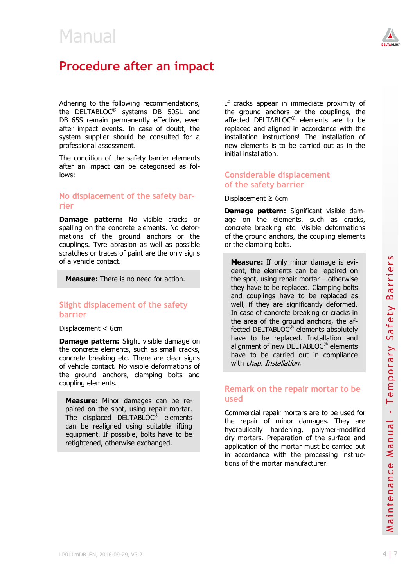

### <span id="page-3-0"></span>**Procedure after an impact**

Adhering to the following recommendations, the DELTABLOC<sup>®</sup> systems DB 50SL and DB 65S remain permanently effective, even after impact events. In case of doubt, the system supplier should be consulted for a professional assessment.

The condition of the safety barrier elements after an impact can be categorised as follows:

### **No displacement of the safety barrier**

**Damage pattern:** No visible cracks or spalling on the concrete elements. No deformations of the ground anchors or the couplings. Tyre abrasion as well as possible scratches or traces of paint are the only signs of a vehicle contact.

**Measure:** There is no need for action.

### **Slight displacement of the safety barrier**

Displacement < 6cm

**Damage pattern:** Slight visible damage on the concrete elements, such as small cracks, concrete breaking etc. There are clear signs of vehicle contact. No visible deformations of the ground anchors, clamping bolts and coupling elements.

**Measure:** Minor damages can be repaired on the spot, using repair mortar. The displaced DELTABLOC® elements can be realigned using suitable lifting equipment. If possible, bolts have to be retightened, otherwise exchanged.

If cracks appear in immediate proximity of the ground anchors or the couplings, the affected DELTABLOC® elements are to be replaced and aligned in accordance with the installation instructions! The installation of new elements is to be carried out as in the initial installation.

### **Considerable displacement of the safety barrier**

Displacement  $\geq$  6cm

**Damage pattern:** Significant visible damage on the elements, such as cracks, concrete breaking etc. Visible deformations of the ground anchors, the coupling elements or the clamping bolts.

**Measure:** If only minor damage is evident, the elements can be repaired on the spot, using repair mortar – otherwise they have to be replaced. Clamping bolts and couplings have to be replaced as well, if they are significantly deformed. In case of concrete breaking or cracks in the area of the ground anchors, the affected DELTABLOC<sup>®</sup> elements absolutely have to be replaced. Installation and alignment of new DELTABLOC® elements have to be carried out in compliance with *chap. Installation.* 

### **Remark on the repair mortar to be used**

Determine propose the contract and the mode to the DELTABLOC<sup>®</sup> elements<br>
concrete betwing etc. There are clear signs there to be carried out in compliance<br>
of vehicle contact. No visible deformations of<br>
the ground ancho Commercial repair mortars are to be used for the repair of minor damages. They are hydraulically hardening, polymer-modified dry mortars. Preparation of the surface and application of the mortar must be carried out in accordance with the processing instructions of the mortar manufacturer.

Safety Barrier s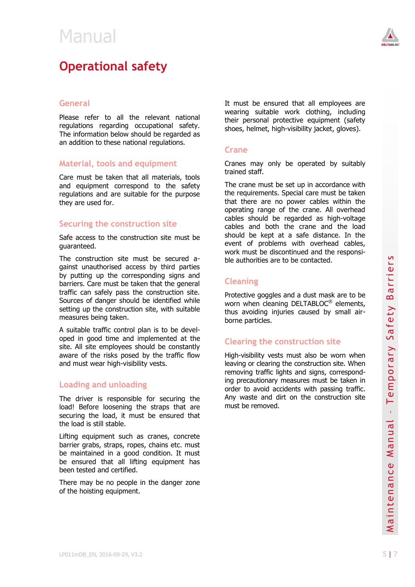<span id="page-4-0"></span>



### **General**

Please refer to all the relevant national regulations regarding occupational safety. The information below should be regarded as an addition to these national regulations.

### **Material, tools and equipment**

Care must be taken that all materials, tools and equipment correspond to the safety regulations and are suitable for the purpose they are used for.

### **Securing the construction site**

Safe access to the construction site must be guaranteed.

The construction site must be secured against unauthorised access by third parties by putting up the corresponding signs and barriers. Care must be taken that the general traffic can safely pass the construction site. Sources of danger should be identified while setting up the construction site, with suitable measures being taken.

A suitable traffic control plan is to be developed in good time and implemented at the site. All site employees should be constantly aware of the risks posed by the traffic flow and must wear high-visibility vests.

### **Loading and unloading**

The driver is responsible for securing the load! Before loosening the straps that are securing the load, it must be ensured that the load is still stable.

Lifting equipment such as cranes, concrete barrier grabs, straps, ropes, chains etc. must be maintained in a good condition. It must be ensured that all lifting equipment has been tested and certified.

There may be no people in the danger zone of the hoisting equipment.

It must be ensured that all employees are wearing suitable work clothing, including their personal protective equipment (safety shoes, helmet, high-visibility jacket, gloves).

### **Crane**

Cranes may only be operated by suitably trained staff.

The crane must be set up in accordance with the requirements. Special care must be taken that there are no power cables within the operating range of the crane. All overhead cables should be regarded as high-voltage cables and both the crane and the load should be kept at a safe distance. In the event of problems with overhead cables, work must be discontinued and the responsible authorities are to be contacted.

### **Cleaning**

Protective goggles and a dust mask are to be worn when cleaning DELTABLOC<sup>®</sup> elements, thus avoiding injuries caused by small airborne particles.

### **Clearing the construction site**

site. All site employees should be constantly<br>average of the risks posed by the traffic flow<br>and must wear high-visibility vests.<br>and must wear high-visibility vests.<br>In the divisible manual emproving traffic lights and s High-visibility vests must also be worn when leaving or clearing the construction site. When removing traffic lights and signs, corresponding precautionary measures must be taken in order to avoid accidents with passing traffic. Any waste and dirt on the construction site must be removed.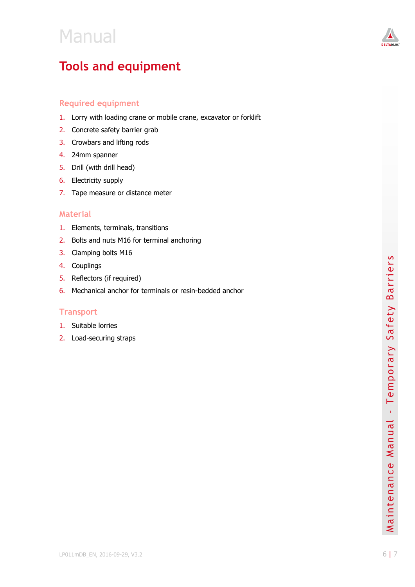

## <span id="page-5-0"></span>**Tools and equipment**

### **Required equipment**

- 1. Lorry with loading crane or mobile crane, excavator or forklift
- 2. Concrete safety barrier grab
- 3. Crowbars and lifting rods
- 4. 24mm spanner
- 5. Drill (with drill head)
- 6. Electricity supply
- 7. Tape measure or distance meter

### **Material**

- 1. Elements, terminals, transitions
- 2. Bolts and nuts M16 for terminal anchoring
- 3. Clamping bolts M1 6
- 4. Couplings
- 5. Reflectors (if required)
- 6. Mechanical anchor for terminals or resin -bedded anchor

### **Transport**

- 1. Suitable lorries
- 2. Load -securing straps